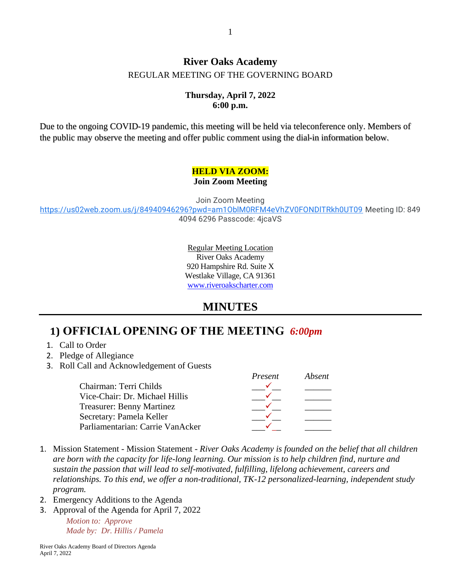### **River Oaks Academy** REGULAR MEETING OF THE GOVERNING BOARD

#### **Thursday, April 7, 2022 6:00 p.m.**

Due to the ongoing COVID-19 pandemic, this meeting will be held via teleconference only. Members of the public may observe the meeting and offer public comment using the dial-in information below.

#### **HELD VIA ZOOM: Join Zoom Meeting**

Join Zoom Meeting

<https://us02web.zoom.us/j/84940946296?pwd=am1OblM0RFM4eVhZV0FONDlTRkh0UT09> Meeting ID: 849 4094 6296 Passcode: 4jcaVS

> Regular Meeting Location River Oaks Academy 920 Hampshire Rd. Suite X Westlake Village, CA 91361 [www.riveroakscharter.com](http://www.riveroakscharter.com/)

## **MINUTES**

*Present Absent*

# **1) OFFICIAL OPENING OF THE MEETING** *6:00pm*

- 1. Call to Order
- 2. Pledge of Allegiance
- 3. Roll Call and Acknowledgement of Guests

| adsent   |
|----------|
|          |
|          |
|          |
|          |
|          |
| r resent |

- 1. Mission Statement Mission Statement *River Oaks Academy is founded on the belief that all children are born with the capacity for life-long learning. Our mission is to help children find, nurture and sustain the passion that will lead to self-motivated, fulfilling, lifelong achievement, careers and relationships. To this end, we offer a non-traditional, TK-12 personalized-learning, independent study program.*
- 2. Emergency Additions to the Agenda
- 3. Approval of the Agenda for April 7, 2022

*Motion to: Approve Made by: Dr. Hillis / Pamela*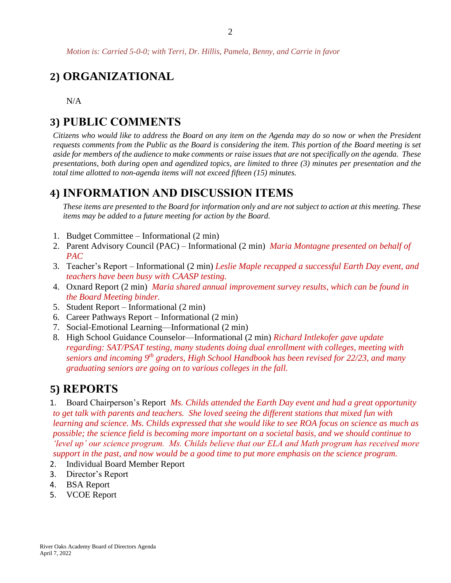*Motion is: Carried 5-0-0; with Terri, Dr. Hillis, Pamela, Benny, and Carrie in favor* 

## **2) ORGANIZATIONAL**

N/A

### **3) PUBLIC COMMENTS**

*Citizens who would like to address the Board on any item on the Agenda may do so now or when the President requests comments from the Public as the Board is considering the item. This portion of the Board meeting is set aside for members of the audience to make comments or raise issues that are not specifically on the agenda. These presentations, both during open and agendized topics, are limited to three (3) minutes per presentation and the total time allotted to non-agenda items will not exceed fifteen (15) minutes.*

### **4) INFORMATION AND DISCUSSION ITEMS**

*These items are presented to the Board for information only and are not subject to action at this meeting. These items may be added to a future meeting for action by the Board.*

- 1. Budget Committee Informational (2 min)
- 2. Parent Advisory Council (PAC) Informational (2 min) *Maria Montagne presented on behalf of PAC*
- 3. Teacher's Report Informational (2 min) *Leslie Maple recapped a successful Earth Day event, and teachers have been busy with CAASP testing.*
- 4. Oxnard Report (2 min) *Maria shared annual improvement survey results, which can be found in the Board Meeting binder.*
- 5. Student Report Informational (2 min)
- 6. Career Pathways Report Informational (2 min)
- 7. Social-Emotional Learning—Informational (2 min)
- 8. High School Guidance Counselor—Informational (2 min) *Richard Intlekofer gave update regarding: SAT/PSAT testing, many students doing dual enrollment with colleges, meeting with seniors and incoming 9th graders, High School Handbook has been revised for 22/23, and many graduating seniors are going on to various colleges in the fall.*

### **5) REPORTS**

1. Board Chairperson's Report *Ms. Childs attended the Earth Day event and had a great opportunity to get talk with parents and teachers. She loved seeing the different stations that mixed fun with learning and science. Ms. Childs expressed that she would like to see ROA focus on science as much as possible; the science field is becoming more important on a societal basis, and we should continue to 'level up' our science program. Ms. Childs believe that our ELA and Math program has received more support in the past, and now would be a good time to put more emphasis on the science program.*

- 2. Individual Board Member Report
- 3. Director's Report
- 4. BSA Report
- 5. VCOE Report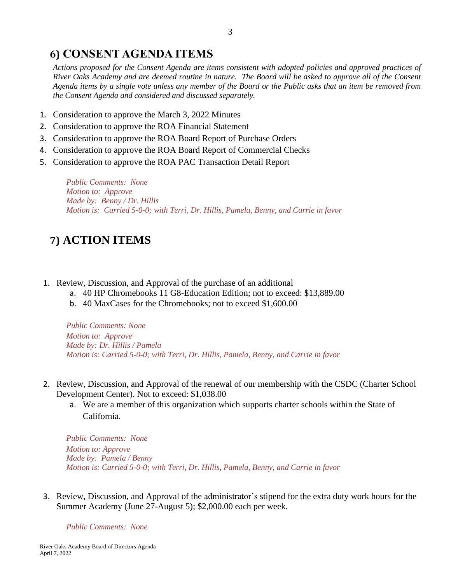## **6) CONSENT AGENDA ITEMS**

*Actions proposed for the Consent Agenda are items consistent with adopted policies and approved practices of River Oaks Academy and are deemed routine in nature. The Board will be asked to approve all of the Consent Agenda items by a single vote unless any member of the Board or the Public asks that an item be removed from the Consent Agenda and considered and discussed separately.*

- 1. Consideration to approve the March 3, 2022 Minutes
- 2. Consideration to approve the ROA Financial Statement
- 3. Consideration to approve the ROA Board Report of Purchase Orders
- 4. Consideration to approve the ROA Board Report of Commercial Checks
- 5. Consideration to approve the ROA PAC Transaction Detail Report

*Public Comments: None Motion to: Approve Made by: Benny / Dr. Hillis Motion is: Carried 5-0-0; with Terri, Dr. Hillis, Pamela, Benny, and Carrie in favor*

# **7) ACTION ITEMS**

- 1. Review, Discussion, and Approval of the purchase of an additional
	- a. 40 HP Chromebooks 11 G8-Education Edition; not to exceed: \$13,889.00
	- b. 40 MaxCases for the Chromebooks; not to exceed \$1,600.00

*Public Comments: None Motion to: Approve Made by: Dr. Hillis / Pamela Motion is: Carried 5-0-0; with Terri, Dr. Hillis, Pamela, Benny, and Carrie in favor*

- 2. Review, Discussion, and Approval of the renewal of our membership with the CSDC (Charter School Development Center). Not to exceed: \$1,038.00
	- a. We are a member of this organization which supports charter schools within the State of California.

*Public Comments: None Motion to: Approve Made by: Pamela / Benny Motion is: Carried 5-0-0; with Terri, Dr. Hillis, Pamela, Benny, and Carrie in favor*

3. Review, Discussion, and Approval of the administrator's stipend for the extra duty work hours for the Summer Academy (June 27-August 5); \$2,000.00 each per week.

*Public Comments: None*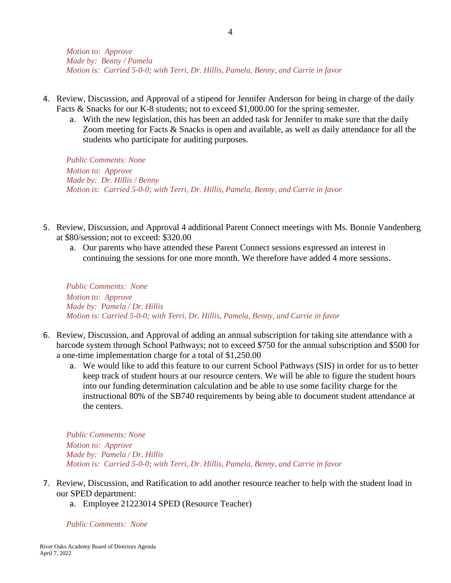*Motion to: Approve Made by: Benny / Pamela Motion is: Carried 5-0-0; with Terri, Dr. Hillis, Pamela, Benny, and Carrie in favor*

- 4. Review, Discussion, and Approval of a stipend for Jennifer Anderson for being in charge of the daily Facts & Snacks for our K-8 students; not to exceed \$1,000.00 for the spring semester.
	- a. With the new legislation, this has been an added task for Jennifer to make sure that the daily Zoom meeting for Facts & Snacks is open and available, as well as daily attendance for all the students who participate for auditing purposes.

*Public Comments: None Motion to: Approve Made by: Dr. Hillis / Benny Motion is: Carried 5-0-0; with Terri, Dr. Hillis, Pamela, Benny, and Carrie in favor*

- 5. Review, Discussion, and Approval 4 additional Parent Connect meetings with Ms. Bonnie Vandenberg at \$80/session; not to exceed: \$320.00
	- a. Our parents who have attended these Parent Connect sessions expressed an interest in continuing the sessions for one more month. We therefore have added 4 more sessions.

*Public Comments: None Motion to: Approve Made by: Pamela / Dr. Hillis Motion is: Carried 5-0-0; with Terri, Dr. Hillis, Pamela, Benny, and Carrie in favor* 

- 6. Review, Discussion, and Approval of adding an annual subscription for taking site attendance with a barcode system through School Pathways; not to exceed \$750 for the annual subscription and \$500 for a one-time implementation charge for a total of \$1,250.00
	- a. We would like to add this feature to our current School Pathways (SIS) in order for us to better keep track of student hours at our resource centers. We will be able to figure the student hours into our funding determination calculation and be able to use some facility charge for the instructional 80% of the SB740 requirements by being able to document student attendance at the centers.

*Public Comments: None Motion to: Approve Made by: Pamela / Dr. Hillis Motion is: Carried 5-0-0; with Terri, Dr. Hillis, Pamela, Benny, and Carrie in favor*

- 7. Review, Discussion, and Ratification to add another resource teacher to help with the student load in our SPED department:
	- a. Employee 21223014 SPED (Resource Teacher)

*Public Comments: None*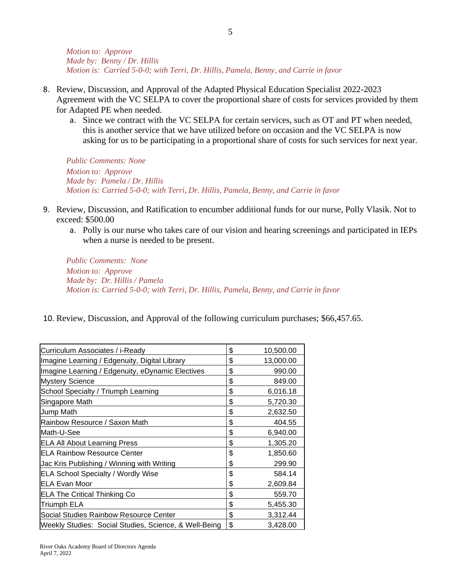*Motion to: Approve Made by: Benny / Dr. Hillis Motion is: Carried 5-0-0; with Terri, Dr. Hillis, Pamela, Benny, and Carrie in favor*

- 8. Review, Discussion, and Approval of the Adapted Physical Education Specialist 2022-2023 Agreement with the VC SELPA to cover the proportional share of costs for services provided by them for Adapted PE when needed.
	- a. Since we contract with the VC SELPA for certain services, such as OT and PT when needed, this is another service that we have utilized before on occasion and the VC SELPA is now asking for us to be participating in a proportional share of costs for such services for next year.

*Public Comments: None Motion to: Approve Made by: Pamela / Dr. Hillis Motion is: Carried 5-0-0; with Terri, Dr. Hillis, Pamela, Benny, and Carrie in favor*

- 9. Review, Discussion, and Ratification to encumber additional funds for our nurse, Polly Vlasik. Not to exceed: \$500.00
	- a. Polly is our nurse who takes care of our vision and hearing screenings and participated in IEPs when a nurse is needed to be present.

*Public Comments: None Motion to: Approve Made by: Dr. Hillis / Pamela Motion is: Carried 5-0-0; with Terri, Dr. Hillis, Pamela, Benny, and Carrie in favor*

10. Review, Discussion, and Approval of the following curriculum purchases; \$66,457.65.

| Curriculum Associates / i-Ready                       | \$<br>10,500.00 |
|-------------------------------------------------------|-----------------|
| Imagine Learning / Edgenuity, Digital Library         | \$<br>13,000.00 |
| Imagine Learning / Edgenuity, eDynamic Electives      | \$<br>990.00    |
| <b>Mystery Science</b>                                | \$<br>849.00    |
| School Specialty / Triumph Learning                   | \$<br>6,016.18  |
| Singapore Math                                        | \$<br>5,720.30  |
| Jump Math                                             | \$<br>2,632.50  |
| Rainbow Resource / Saxon Math                         | \$<br>404.55    |
| Math-U-See                                            | \$<br>6,940.00  |
| <b>ELA All About Learning Press</b>                   | \$<br>1,305.20  |
| <b>IELA Rainbow Resource Center</b>                   | \$<br>1,850.60  |
| Jac Kris Publishing / Winning with Writing            | \$<br>299.90    |
| <b>ELA School Specialty / Wordly Wise</b>             | \$<br>584.14    |
| <b>IELA Evan Moor</b>                                 | \$<br>2,609.84  |
| <b>ELA The Critical Thinking Co</b>                   | \$<br>559.70    |
| <b>Triumph ELA</b>                                    | \$<br>5,455.30  |
| Social Studies Rainbow Resource Center                | \$<br>3,312.44  |
| Weekly Studies: Social Studies, Science, & Well-Being | \$<br>3,428.00  |